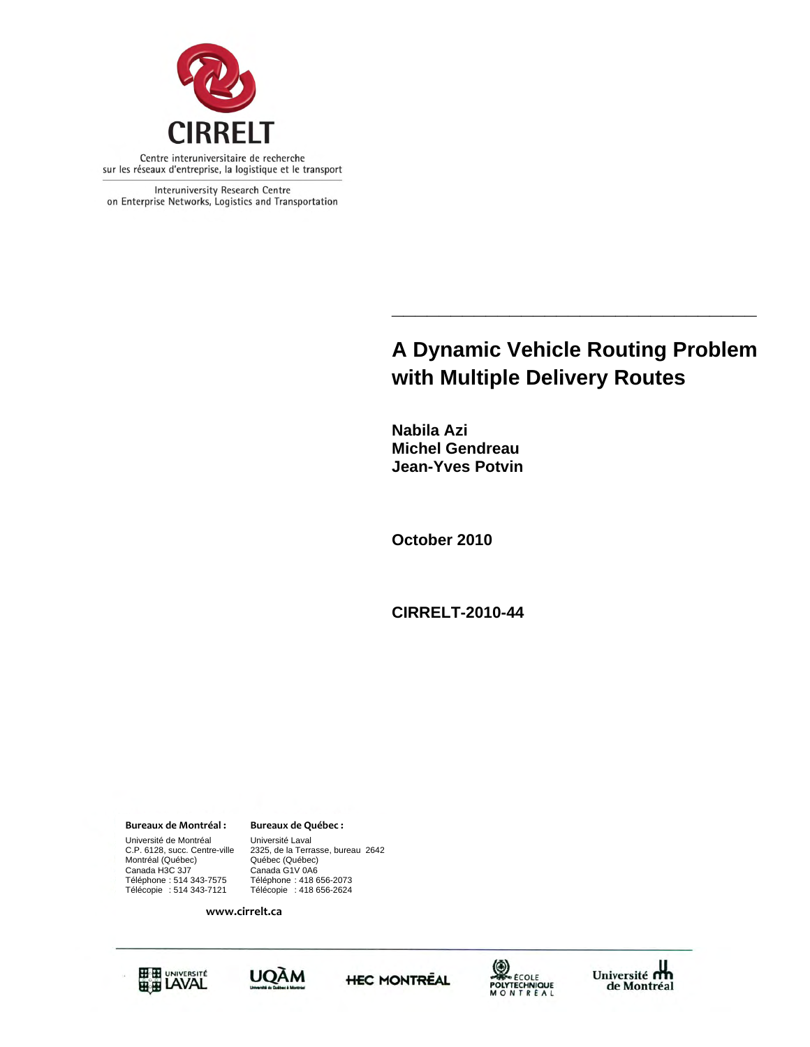

Interuniversity Research Centre on Enterprise Networks, Logistics and Transportation

# **\_\_\_\_\_\_\_\_\_\_\_\_\_\_\_\_\_\_\_\_\_\_\_\_\_\_\_\_\_\_\_ A Dynamic Vehicle Routing Problem with Multiple Delivery Routes**

**Nabila Azi Michel Gendreau Jean-Yves Potvin** 

**October 2010** 

**CIRRELT-2010-44** 

**Bureaux de Montréal : Bureaux de Québec :**

Université de Montréal Université Laval<br>C.P. 6128, succ. Centre-ville 2325, de la Terra Montréal (Québec)<br>Canada H3C 3J7 Canada H3C 3J7 Canada G1V 0A6 Téléphone : 514 343-7575 Téléphone : 418 656-2073 Télécopie : 514 343-7121 Télécopie : 418 656-2624

Québec (Québec)<br>Canada G1V 0A6 2325, de la Terrasse, bureau 2642

**www.cirrelt.ca**









Université  $\mathbf{d}$ <br>de Montréal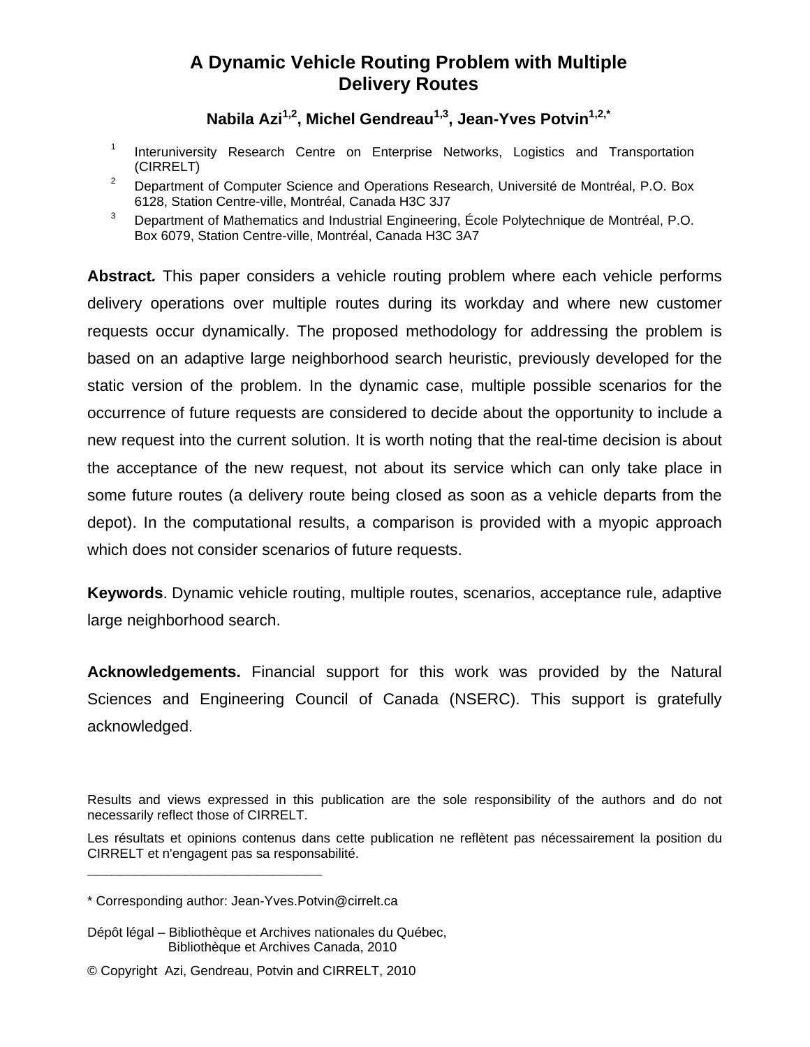## **A Dynamic Vehicle Routing Problem with Multiple Delivery Routes**

# Nabila Azi<sup>1,2</sup>, Michel Gendreau<sup>1,3</sup>, Jean-Yves Potvin<sup>1,2,\*</sup>

- 1 Interuniversity Research Centre on Enterprise Networks, Logistics and Transportation (CIRRELT)
- 2 Department of Computer Science and Operations Research, Université de Montréal, P.O. Box 6128, Station Centre-ville, Montréal, Canada H3C 3J7
- 3 Department of Mathematics and Industrial Engineering, École Polytechnique de Montréal, P.O. Box 6079, Station Centre-ville, Montréal, Canada H3C 3A7

**Abstract***.* This paper considers a vehicle routing problem where each vehicle performs delivery operations over multiple routes during its workday and where new customer requests occur dynamically. The proposed methodology for addressing the problem is based on an adaptive large neighborhood search heuristic, previously developed for the static version of the problem. In the dynamic case, multiple possible scenarios for the occurrence of future requests are considered to decide about the opportunity to include a new request into the current solution. It is worth noting that the real-time decision is about the acceptance of the new request, not about its service which can only take place in some future routes (a delivery route being closed as soon as a vehicle departs from the depot). In the computational results, a comparison is provided with a myopic approach which does not consider scenarios of future requests.

**Keywords**. Dynamic vehicle routing, multiple routes, scenarios, acceptance rule, adaptive large neighborhood search.

**Acknowledgements.** Financial support for this work was provided by the Natural Sciences and Engineering Council of Canada (NSERC). This support is gratefully acknowledged.

**\_\_\_\_\_\_\_\_\_\_\_\_\_\_\_\_\_\_\_\_\_\_\_\_\_\_\_\_\_**

- Dépôt légal Bibliothèque et Archives nationales du Québec, Bibliothèque et Archives Canada, 2010
- © Copyright Azi, Gendreau, Potvin and CIRRELT, 2010

Results and views expressed in this publication are the sole responsibility of the authors and do not necessarily reflect those of CIRRELT.

Les résultats et opinions contenus dans cette publication ne reflètent pas nécessairement la position du CIRRELT et n'engagent pas sa responsabilité.

<sup>\*</sup> Corresponding author: Jean-Yves.Potvin@cirrelt.ca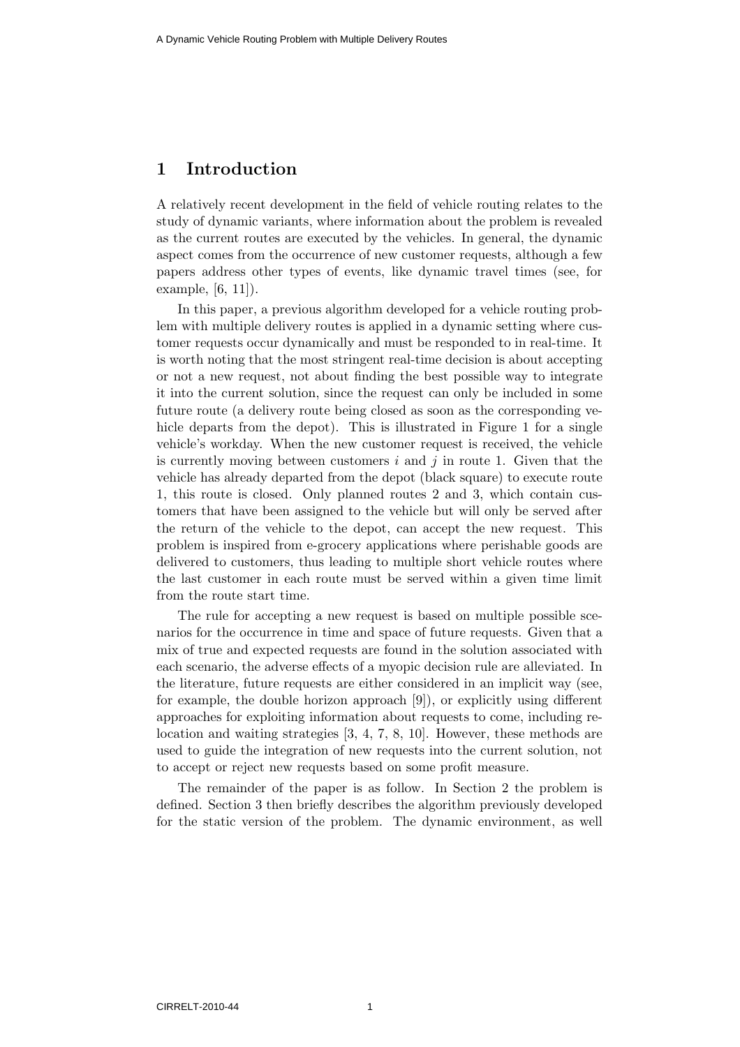## 1 Introduction

A relatively recent development in the field of vehicle routing relates to the study of dynamic variants, where information about the problem is revealed as the current routes are executed by the vehicles. In general, the dynamic aspect comes from the occurrence of new customer requests, although a few papers address other types of events, like dynamic travel times (see, for example, [6, 11]).

In this paper, a previous algorithm developed for a vehicle routing problem with multiple delivery routes is applied in a dynamic setting where customer requests occur dynamically and must be responded to in real-time. It is worth noting that the most stringent real-time decision is about accepting or not a new request, not about finding the best possible way to integrate it into the current solution, since the request can only be included in some future route (a delivery route being closed as soon as the corresponding vehicle departs from the depot). This is illustrated in Figure 1 for a single vehicle's workday. When the new customer request is received, the vehicle is currently moving between customers i and j in route 1. Given that the vehicle has already departed from the depot (black square) to execute route 1, this route is closed. Only planned routes 2 and 3, which contain customers that have been assigned to the vehicle but will only be served after the return of the vehicle to the depot, can accept the new request. This problem is inspired from e-grocery applications where perishable goods are delivered to customers, thus leading to multiple short vehicle routes where the last customer in each route must be served within a given time limit from the route start time.

The rule for accepting a new request is based on multiple possible scenarios for the occurrence in time and space of future requests. Given that a mix of true and expected requests are found in the solution associated with each scenario, the adverse effects of a myopic decision rule are alleviated. In the literature, future requests are either considered in an implicit way (see, for example, the double horizon approach [9]), or explicitly using different approaches for exploiting information about requests to come, including relocation and waiting strategies [3, 4, 7, 8, 10]. However, these methods are used to guide the integration of new requests into the current solution, not to accept or reject new requests based on some profit measure.

The remainder of the paper is as follow. In Section 2 the problem is defined. Section 3 then briefly describes the algorithm previously developed for the static version of the problem. The dynamic environment, as well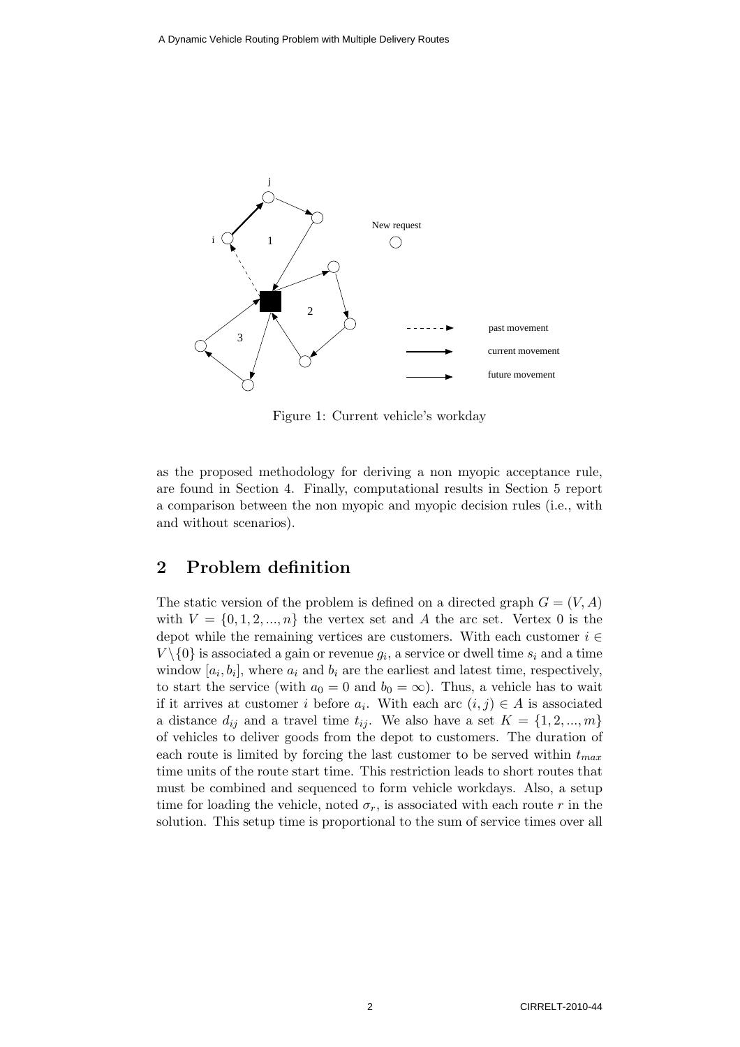

Figure 1: Current vehicle's workday

as the proposed methodology for deriving a non myopic acceptance rule, are found in Section 4. Finally, computational results in Section 5 report a comparison between the non myopic and myopic decision rules (i.e., with and without scenarios).

## 2 Problem definition

The static version of the problem is defined on a directed graph  $G = (V, A)$ with  $V = \{0, 1, 2, ..., n\}$  the vertex set and A the arc set. Vertex 0 is the depot while the remaining vertices are customers. With each customer  $i \in$  $V \setminus \{0\}$  is associated a gain or revenue  $g_i$ , a service or dwell time  $s_i$  and a time window  $[a_i, b_i]$ , where  $a_i$  and  $b_i$  are the earliest and latest time, respectively, to start the service (with  $a_0 = 0$  and  $b_0 = \infty$ ). Thus, a vehicle has to wait if it arrives at customer i before  $a_i$ . With each arc  $(i, j) \in A$  is associated a distance  $d_{ij}$  and a travel time  $t_{ij}$ . We also have a set  $K = \{1, 2, ..., m\}$ of vehicles to deliver goods from the depot to customers. The duration of each route is limited by forcing the last customer to be served within  $t_{max}$ time units of the route start time. This restriction leads to short routes that must be combined and sequenced to form vehicle workdays. Also, a setup time for loading the vehicle, noted  $\sigma_r$ , is associated with each route r in the solution. This setup time is proportional to the sum of service times over all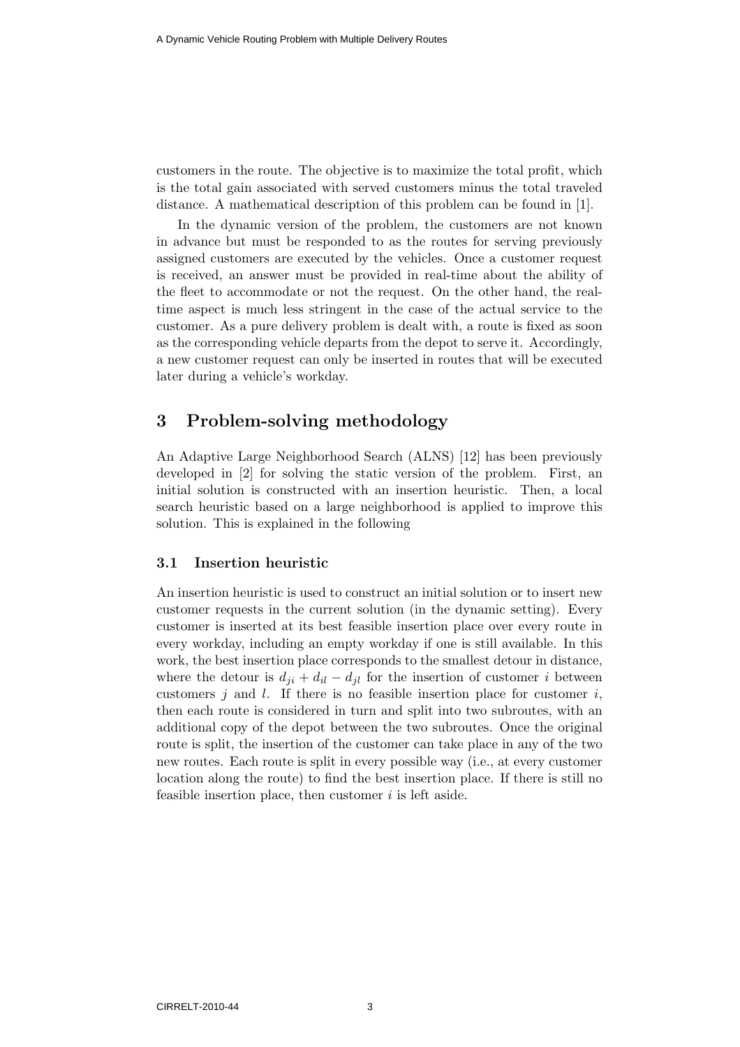customers in the route. The objective is to maximize the total profit, which is the total gain associated with served customers minus the total traveled distance. A mathematical description of this problem can be found in [1].

In the dynamic version of the problem, the customers are not known in advance but must be responded to as the routes for serving previously assigned customers are executed by the vehicles. Once a customer request is received, an answer must be provided in real-time about the ability of the fleet to accommodate or not the request. On the other hand, the realtime aspect is much less stringent in the case of the actual service to the customer. As a pure delivery problem is dealt with, a route is fixed as soon as the corresponding vehicle departs from the depot to serve it. Accordingly, a new customer request can only be inserted in routes that will be executed later during a vehicle's workday.

## 3 Problem-solving methodology

An Adaptive Large Neighborhood Search (ALNS) [12] has been previously developed in [2] for solving the static version of the problem. First, an initial solution is constructed with an insertion heuristic. Then, a local search heuristic based on a large neighborhood is applied to improve this solution. This is explained in the following

#### 3.1 Insertion heuristic

An insertion heuristic is used to construct an initial solution or to insert new customer requests in the current solution (in the dynamic setting). Every customer is inserted at its best feasible insertion place over every route in every workday, including an empty workday if one is still available. In this work, the best insertion place corresponds to the smallest detour in distance, where the detour is  $d_{ji} + d_{il} - d_{jl}$  for the insertion of customer i between customers j and l. If there is no feasible insertion place for customer  $i$ , then each route is considered in turn and split into two subroutes, with an additional copy of the depot between the two subroutes. Once the original route is split, the insertion of the customer can take place in any of the two new routes. Each route is split in every possible way (i.e., at every customer location along the route) to find the best insertion place. If there is still no feasible insertion place, then customer  $i$  is left aside.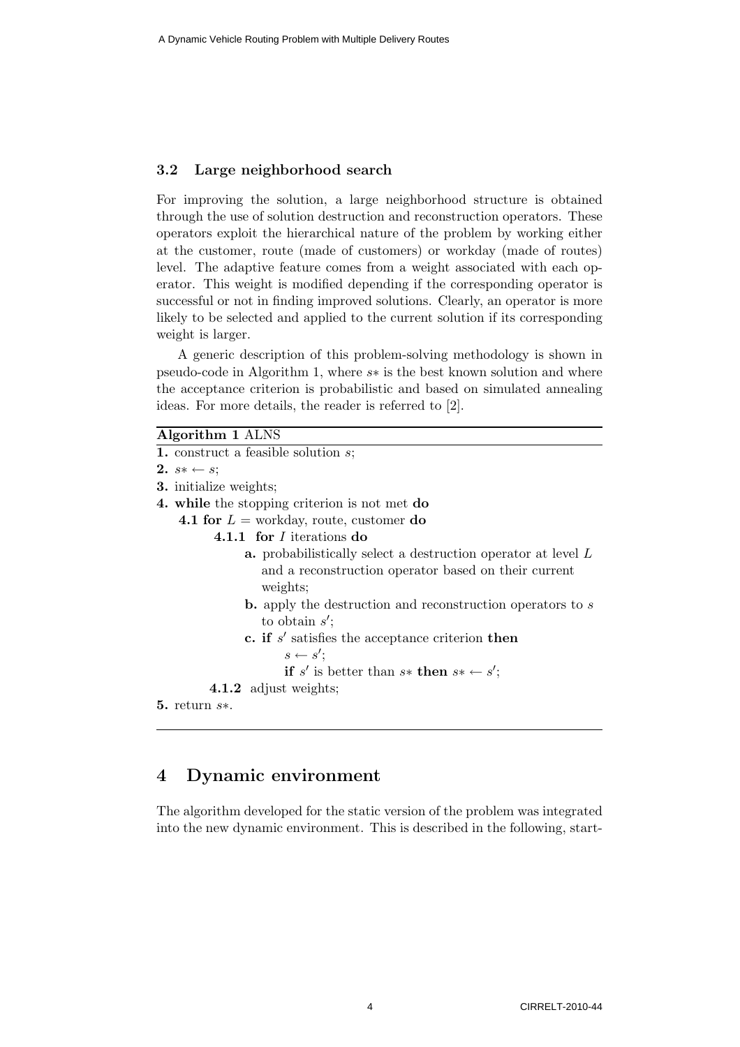#### 3.2 Large neighborhood search

For improving the solution, a large neighborhood structure is obtained through the use of solution destruction and reconstruction operators. These operators exploit the hierarchical nature of the problem by working either at the customer, route (made of customers) or workday (made of routes) level. The adaptive feature comes from a weight associated with each operator. This weight is modified depending if the corresponding operator is successful or not in finding improved solutions. Clearly, an operator is more likely to be selected and applied to the current solution if its corresponding weight is larger.

A generic description of this problem-solving methodology is shown in pseudo-code in Algorithm 1, where s∗ is the best known solution and where the acceptance criterion is probabilistic and based on simulated annealing ideas. For more details, the reader is referred to [2].

| ्रणा $\mathbf{r}$ nn । $\mathbf{r}$<br>ъ. |
|-------------------------------------------|
|-------------------------------------------|

| АІgогійнің тартыр                                                      |
|------------------------------------------------------------------------|
| <b>1.</b> construct a feasible solution $s$ ;                          |
| 2. $s* \leftarrow s;$                                                  |
| <b>3.</b> initialize weights;                                          |
| 4. while the stopping criterion is not met do                          |
| <b>4.1 for</b> $L =$ workday, route, customer <b>do</b>                |
| 4.1.1 for <i>I</i> iterations do                                       |
| <b>a.</b> probabilistically select a destruction operator at level $L$ |
| and a reconstruction operator based on their current                   |
| weights;                                                               |
| <b>b.</b> apply the destruction and reconstruction operators to $s$    |
| to obtain $s'$ ;                                                       |
| c. if $s'$ satisfies the acceptance criterion then                     |
| $s \leftarrow s'$ ;                                                    |
|                                                                        |

if s' is better than  $s*$  then  $s* \leftarrow s'$ ;

4.1.2 adjust weights;

```
5. return s∗.
```
### 4 Dynamic environment

The algorithm developed for the static version of the problem was integrated into the new dynamic environment. This is described in the following, start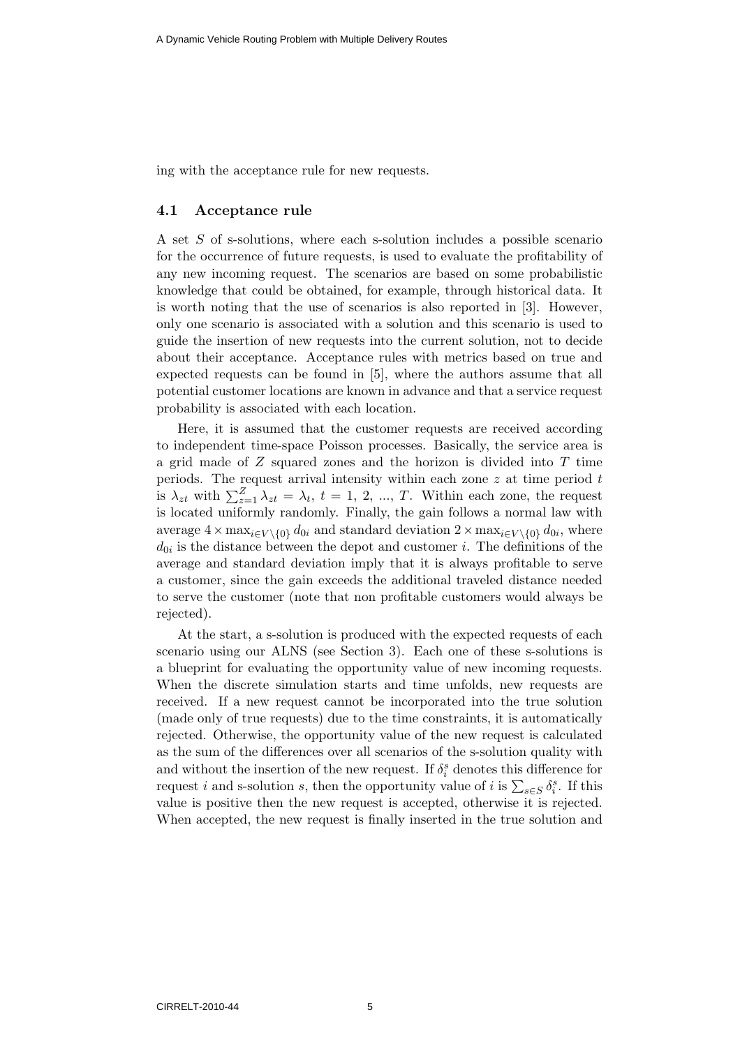ing with the acceptance rule for new requests.

#### 4.1 Acceptance rule

A set S of s-solutions, where each s-solution includes a possible scenario for the occurrence of future requests, is used to evaluate the profitability of any new incoming request. The scenarios are based on some probabilistic knowledge that could be obtained, for example, through historical data. It is worth noting that the use of scenarios is also reported in [3]. However, only one scenario is associated with a solution and this scenario is used to guide the insertion of new requests into the current solution, not to decide about their acceptance. Acceptance rules with metrics based on true and expected requests can be found in [5], where the authors assume that all potential customer locations are known in advance and that a service request probability is associated with each location.

Here, it is assumed that the customer requests are received according to independent time-space Poisson processes. Basically, the service area is a grid made of  $Z$  squared zones and the horizon is divided into  $T$  time periods. The request arrival intensity within each zone  $z$  at time period  $t$ is  $\lambda_{zt}$  with  $\sum_{z=1}^{Z} \lambda_{zt} = \lambda_t$ ,  $t = 1, 2, ..., T$ . Within each zone, the request is located uniformly randomly. Finally, the gain follows a normal law with average  $4 \times \max_{i \in V \setminus \{0\}} d_{0i}$  and standard deviation  $2 \times \max_{i \in V \setminus \{0\}} d_{0i}$ , where  $d_{0i}$  is the distance between the depot and customer *i*. The definitions of the average and standard deviation imply that it is always profitable to serve a customer, since the gain exceeds the additional traveled distance needed to serve the customer (note that non profitable customers would always be rejected).

At the start, a s-solution is produced with the expected requests of each scenario using our ALNS (see Section 3). Each one of these s-solutions is a blueprint for evaluating the opportunity value of new incoming requests. When the discrete simulation starts and time unfolds, new requests are received. If a new request cannot be incorporated into the true solution (made only of true requests) due to the time constraints, it is automatically rejected. Otherwise, the opportunity value of the new request is calculated as the sum of the differences over all scenarios of the s-solution quality with and without the insertion of the new request. If  $\delta_i^s$  denotes this difference for request *i* and s-solution *s*, then the opportunity value of *i* is  $\sum_{s \in S} \delta_i^s$ . If this value is positive then the new request is accepted, otherwise it is rejected. When accepted, the new request is finally inserted in the true solution and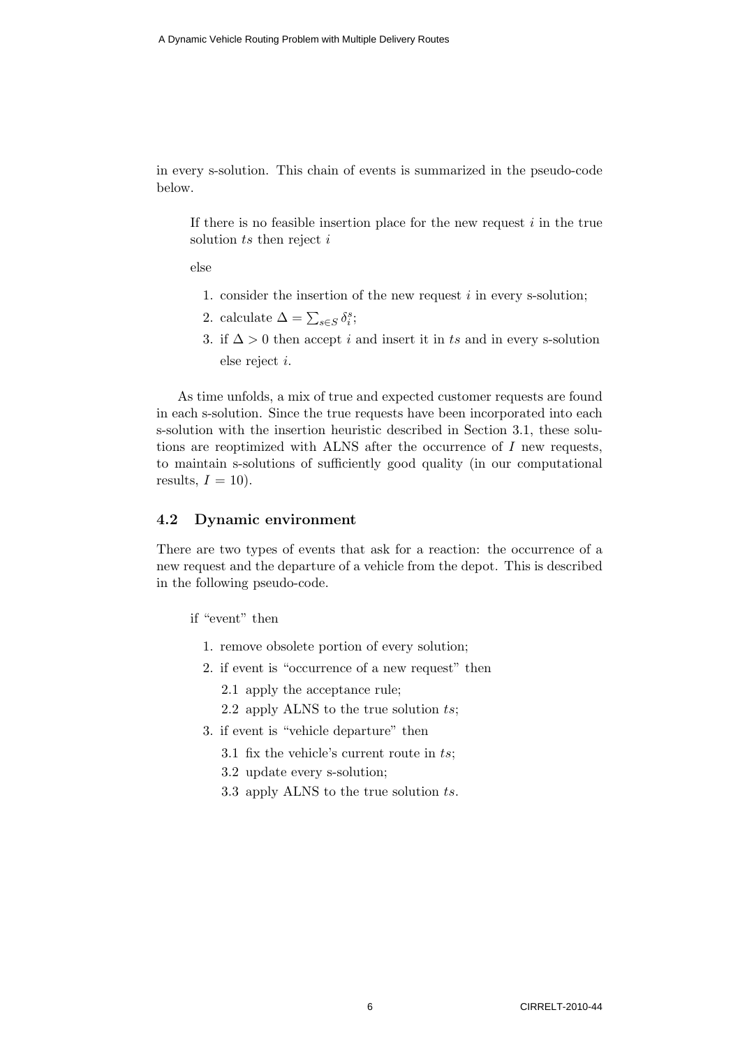in every s-solution. This chain of events is summarized in the pseudo-code below.

If there is no feasible insertion place for the new request  $i$  in the true solution  $ts$  then reject  $i$ 

else

- 1. consider the insertion of the new request  $i$  in every s-solution;
- 2. calculate  $\Delta = \sum_{s \in S} \delta_i^s;$
- 3. if  $\Delta > 0$  then accept *i* and insert it in ts and in every s-solution else reject i.

As time unfolds, a mix of true and expected customer requests are found in each s-solution. Since the true requests have been incorporated into each s-solution with the insertion heuristic described in Section 3.1, these solutions are reoptimized with ALNS after the occurrence of  $I$  new requests, to maintain s-solutions of sufficiently good quality (in our computational results,  $I = 10$ .

#### 4.2 Dynamic environment

There are two types of events that ask for a reaction: the occurrence of a new request and the departure of a vehicle from the depot. This is described in the following pseudo-code.

if "event" then

- 1. remove obsolete portion of every solution;
- 2. if event is "occurrence of a new request" then
	- 2.1 apply the acceptance rule;
	- 2.2 apply ALNS to the true solution ts;
- 3. if event is "vehicle departure" then
	- 3.1 fix the vehicle's current route in ts;
	- 3.2 update every s-solution;
	- 3.3 apply ALNS to the true solution ts.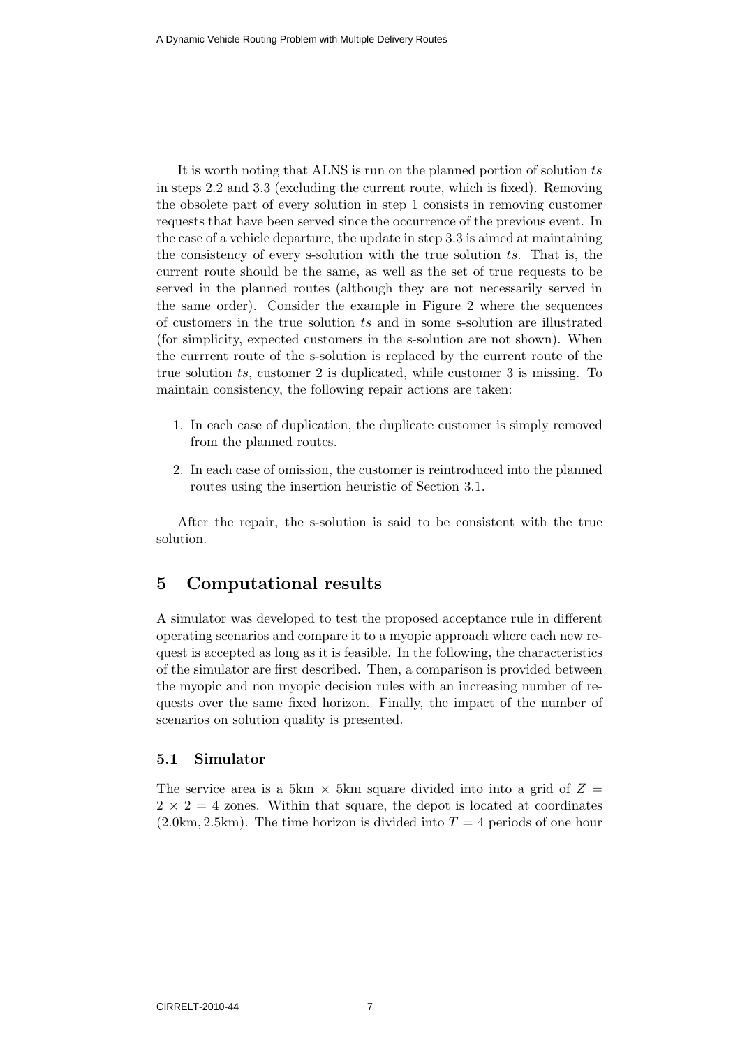It is worth noting that ALNS is run on the planned portion of solution ts in steps 2.2 and 3.3 (excluding the current route, which is fixed). Removing the obsolete part of every solution in step 1 consists in removing customer requests that have been served since the occurrence of the previous event. In the case of a vehicle departure, the update in step 3.3 is aimed at maintaining the consistency of every s-solution with the true solution ts. That is, the current route should be the same, as well as the set of true requests to be served in the planned routes (although they are not necessarily served in the same order). Consider the example in Figure 2 where the sequences of customers in the true solution ts and in some s-solution are illustrated (for simplicity, expected customers in the s-solution are not shown). When the currrent route of the s-solution is replaced by the current route of the true solution ts, customer 2 is duplicated, while customer 3 is missing. To maintain consistency, the following repair actions are taken:

- 1. In each case of duplication, the duplicate customer is simply removed from the planned routes.
- 2. In each case of omission, the customer is reintroduced into the planned routes using the insertion heuristic of Section 3.1.

After the repair, the s-solution is said to be consistent with the true solution.

#### 5 Computational results

A simulator was developed to test the proposed acceptance rule in different operating scenarios and compare it to a myopic approach where each new request is accepted as long as it is feasible. In the following, the characteristics of the simulator are first described. Then, a comparison is provided between the myopic and non myopic decision rules with an increasing number of requests over the same fixed horizon. Finally, the impact of the number of scenarios on solution quality is presented.

#### 5.1 Simulator

The service area is a 5km  $\times$  5km square divided into into a grid of  $Z =$  $2 \times 2 = 4$  zones. Within that square, the depot is located at coordinates  $(2.0 \text{km}, 2.5 \text{km})$ . The time horizon is divided into  $T = 4$  periods of one hour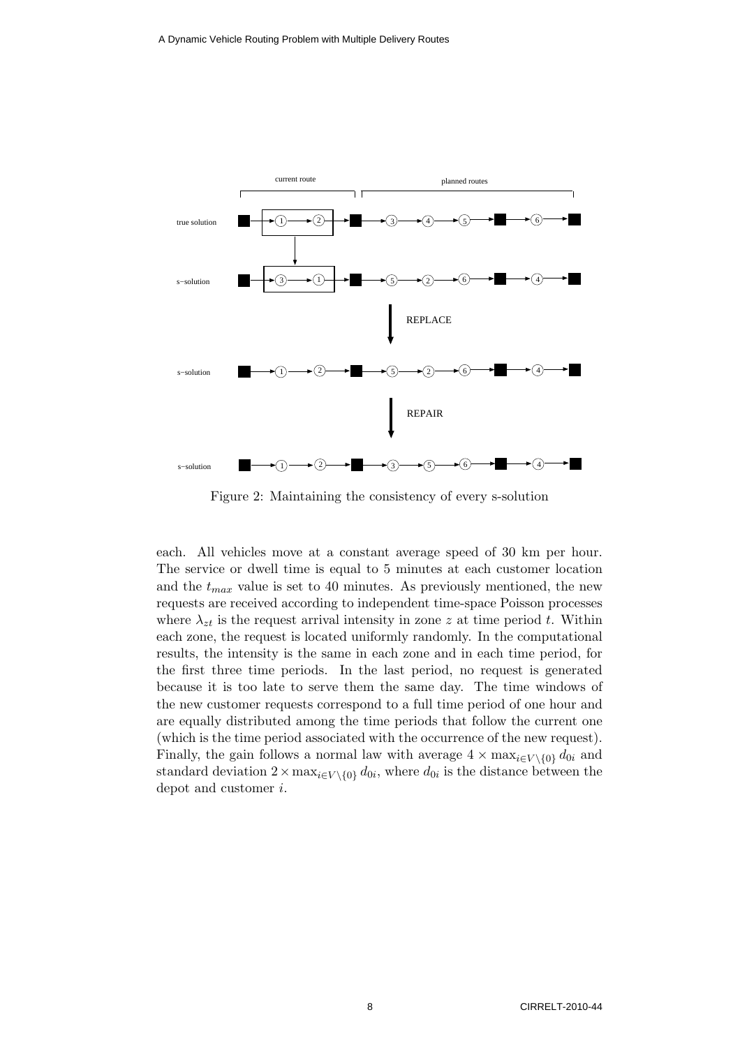

Figure 2: Maintaining the consistency of every s-solution

each. All vehicles move at a constant average speed of 30 km per hour. The service or dwell time is equal to 5 minutes at each customer location and the  $t_{max}$  value is set to 40 minutes. As previously mentioned, the new requests are received according to independent time-space Poisson processes where  $\lambda_{zt}$  is the request arrival intensity in zone z at time period t. Within each zone, the request is located uniformly randomly. In the computational results, the intensity is the same in each zone and in each time period, for the first three time periods. In the last period, no request is generated because it is too late to serve them the same day. The time windows of the new customer requests correspond to a full time period of one hour and are equally distributed among the time periods that follow the current one (which is the time period associated with the occurrence of the new request). Finally, the gain follows a normal law with average  $4 \times \max_{i \in V \setminus \{0\}} d_{0i}$  and standard deviation  $2 \times \max_{i \in V \setminus \{0\}} d_{0i}$ , where  $d_{0i}$  is the distance between the depot and customer i.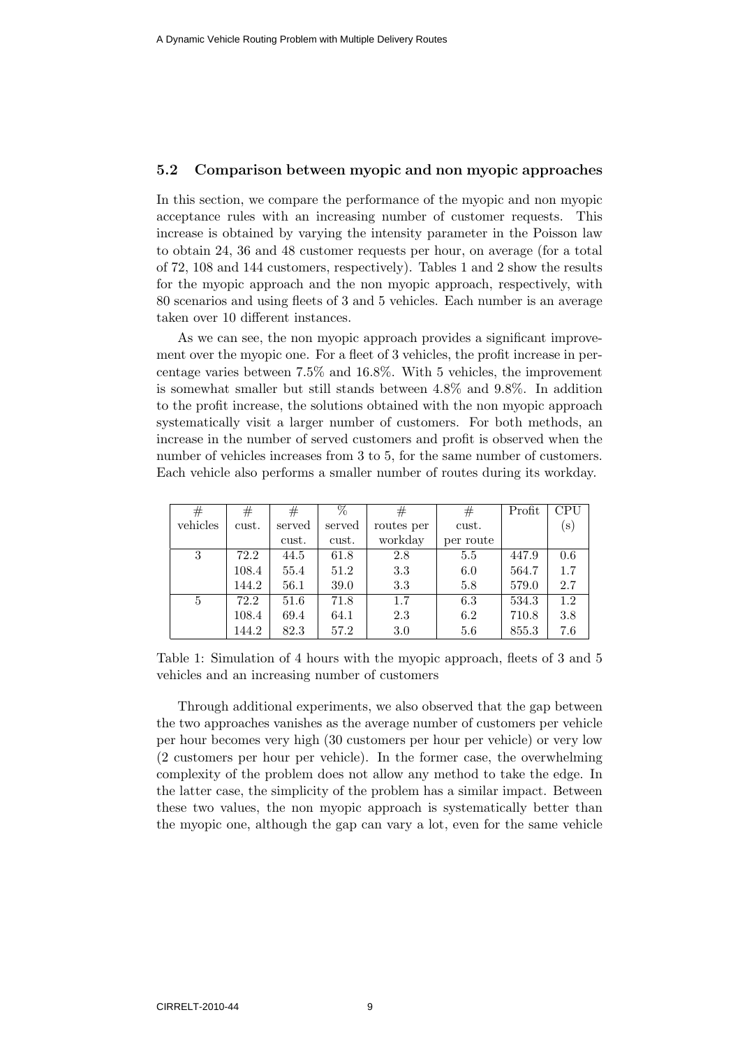#### 5.2 Comparison between myopic and non myopic approaches

In this section, we compare the performance of the myopic and non myopic acceptance rules with an increasing number of customer requests. This increase is obtained by varying the intensity parameter in the Poisson law to obtain 24, 36 and 48 customer requests per hour, on average (for a total of 72, 108 and 144 customers, respectively). Tables 1 and 2 show the results for the myopic approach and the non myopic approach, respectively, with 80 scenarios and using fleets of 3 and 5 vehicles. Each number is an average taken over 10 different instances.

As we can see, the non myopic approach provides a significant improvement over the myopic one. For a fleet of 3 vehicles, the profit increase in percentage varies between 7.5% and 16.8%. With 5 vehicles, the improvement is somewhat smaller but still stands between 4.8% and 9.8%. In addition to the profit increase, the solutions obtained with the non myopic approach systematically visit a larger number of customers. For both methods, an increase in the number of served customers and profit is observed when the number of vehicles increases from 3 to 5, for the same number of customers. Each vehicle also performs a smaller number of routes during its workday.

| $^{\#}$  | #     | #      | $\overline{\%}$ | #          | #         | Profit | <b>CPU</b> |
|----------|-------|--------|-----------------|------------|-----------|--------|------------|
| vehicles | cust. | served | served          | routes per | cust.     |        | $(\rm s)$  |
|          |       | cust.  | cust.           | workday    | per route |        |            |
| 3        | 72.2  | 44.5   | 61.8            | 2.8        | 5.5       | 447.9  | 0.6        |
|          | 108.4 | 55.4   | 51.2            | 3.3        | 6.0       | 564.7  | 1.7        |
|          | 144.2 | 56.1   | 39.0            | 3.3        | 5.8       | 579.0  | 2.7        |
| 5        | 72.2  | 51.6   | 71.8            | 1.7        | 6.3       | 534.3  | 1.2        |
|          | 108.4 | 69.4   | 64.1            | 2.3        | 6.2       | 710.8  | 3.8        |
|          | 144.2 | 82.3   | 57.2            | 3.0        | 5.6       | 855.3  | 7.6        |

Table 1: Simulation of 4 hours with the myopic approach, fleets of 3 and 5 vehicles and an increasing number of customers

Through additional experiments, we also observed that the gap between the two approaches vanishes as the average number of customers per vehicle per hour becomes very high (30 customers per hour per vehicle) or very low (2 customers per hour per vehicle). In the former case, the overwhelming complexity of the problem does not allow any method to take the edge. In the latter case, the simplicity of the problem has a similar impact. Between these two values, the non myopic approach is systematically better than the myopic one, although the gap can vary a lot, even for the same vehicle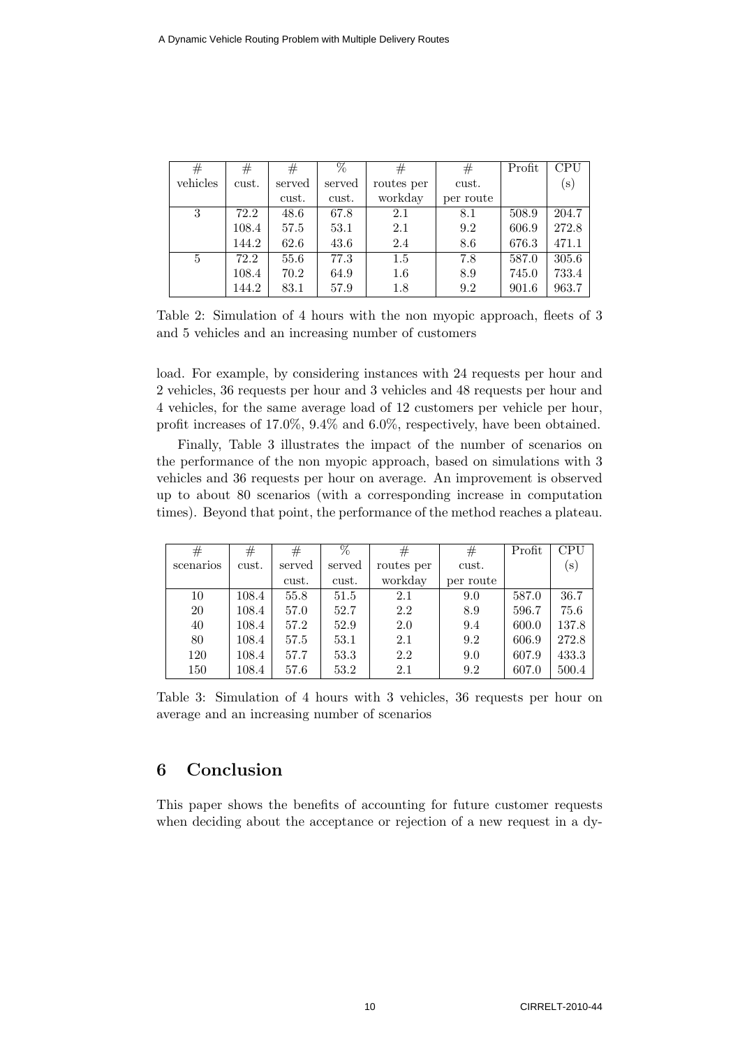| #        | $^{\#}$ | #      | %      | #          | #         | Profit | <b>CPU</b> |
|----------|---------|--------|--------|------------|-----------|--------|------------|
| vehicles | cust.   | served | served | routes per | cust.     |        | $(\rm s)$  |
|          |         | cust.  | cust.  | workday    | per route |        |            |
| 3        | 72.2    | 48.6   | 67.8   | 2.1        | 8.1       | 508.9  | 204.7      |
|          | 108.4   | 57.5   | 53.1   | 2.1        | 9.2       | 606.9  | 272.8      |
|          | 144.2   | 62.6   | 43.6   | 2.4        | 8.6       | 676.3  | 471.1      |
| 5        | 72.2    | 55.6   | 77.3   | 1.5        | 7.8       | 587.0  | 305.6      |
|          | 108.4   | 70.2   | 64.9   | 1.6        | 8.9       | 745.0  | 733.4      |
|          | 144.2   | 83.1   | 57.9   | 1.8        | 9.2       | 901.6  | 963.7      |

Table 2: Simulation of 4 hours with the non myopic approach, fleets of 3 and 5 vehicles and an increasing number of customers

load. For example, by considering instances with 24 requests per hour and 2 vehicles, 36 requests per hour and 3 vehicles and 48 requests per hour and 4 vehicles, for the same average load of 12 customers per vehicle per hour, profit increases of 17.0%, 9.4% and 6.0%, respectively, have been obtained.

Finally, Table 3 illustrates the impact of the number of scenarios on the performance of the non myopic approach, based on simulations with 3 vehicles and 36 requests per hour on average. An improvement is observed up to about 80 scenarios (with a corresponding increase in computation times). Beyond that point, the performance of the method reaches a plateau.

| #         | #     | #      | %      | #          | #         | Profit | <b>CPU</b> |
|-----------|-------|--------|--------|------------|-----------|--------|------------|
| scenarios | cust. | served | served | routes per | cust.     |        | $(\rm s)$  |
|           |       | cust.  | cust.  | workday    | per route |        |            |
| 10        | 108.4 | 55.8   | 51.5   | 2.1        | 9.0       | 587.0  | 36.7       |
| 20        | 108.4 | 57.0   | 52.7   | 2.2        | 8.9       | 596.7  | 75.6       |
| 40        | 108.4 | 57.2   | 52.9   | 2.0        | 9.4       | 600.0  | 137.8      |
| 80        | 108.4 | 57.5   | 53.1   | 2.1        | 9.2       | 606.9  | 272.8      |
| 120       | 108.4 | 57.7   | 53.3   | 2.2        | 9.0       | 607.9  | 433.3      |
| 150       | 108.4 | 57.6   | 53.2   | 2.1        | 9.2       | 607.0  | 500.4      |

Table 3: Simulation of 4 hours with 3 vehicles, 36 requests per hour on average and an increasing number of scenarios

## 6 Conclusion

This paper shows the benefits of accounting for future customer requests when deciding about the acceptance or rejection of a new request in a dy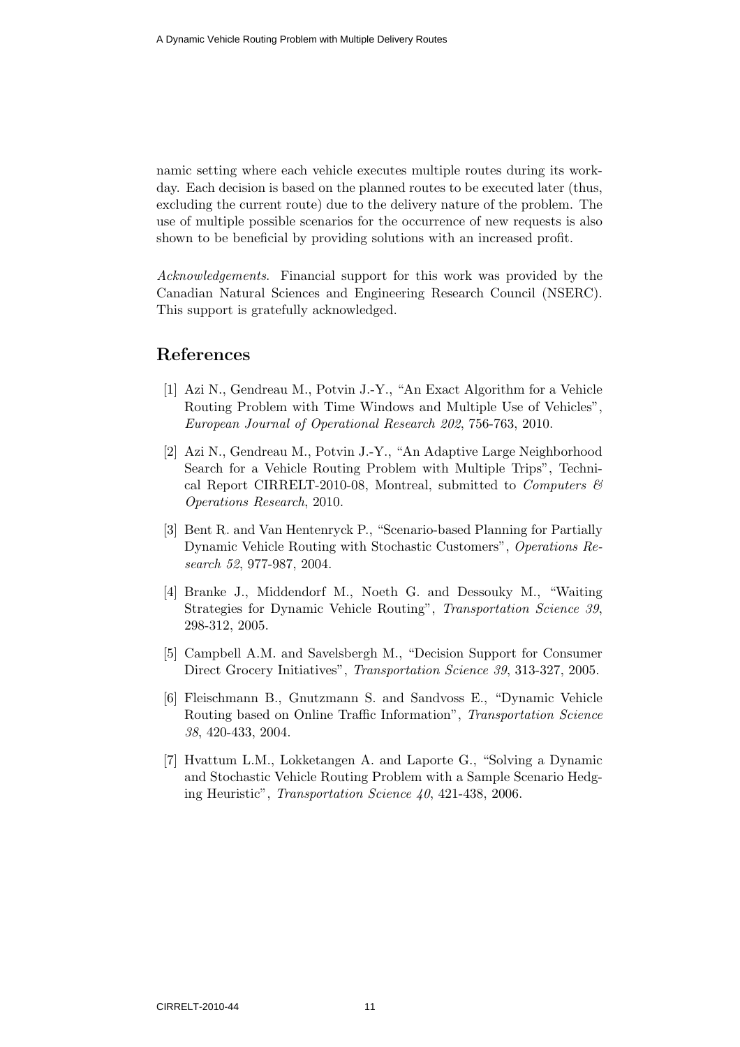namic setting where each vehicle executes multiple routes during its workday. Each decision is based on the planned routes to be executed later (thus, excluding the current route) due to the delivery nature of the problem. The use of multiple possible scenarios for the occurrence of new requests is also shown to be beneficial by providing solutions with an increased profit.

Acknowledgements. Financial support for this work was provided by the Canadian Natural Sciences and Engineering Research Council (NSERC). This support is gratefully acknowledged.

## References

- [1] Azi N., Gendreau M., Potvin J.-Y., "An Exact Algorithm for a Vehicle Routing Problem with Time Windows and Multiple Use of Vehicles", European Journal of Operational Research 202, 756-763, 2010.
- [2] Azi N., Gendreau M., Potvin J.-Y., "An Adaptive Large Neighborhood Search for a Vehicle Routing Problem with Multiple Trips", Technical Report CIRRELT-2010-08, Montreal, submitted to Computers  $\mathcal{C}$ Operations Research, 2010.
- [3] Bent R. and Van Hentenryck P., "Scenario-based Planning for Partially Dynamic Vehicle Routing with Stochastic Customers", Operations Research 52, 977-987, 2004.
- [4] Branke J., Middendorf M., Noeth G. and Dessouky M., "Waiting Strategies for Dynamic Vehicle Routing", Transportation Science 39, 298-312, 2005.
- [5] Campbell A.M. and Savelsbergh M., "Decision Support for Consumer Direct Grocery Initiatives", Transportation Science 39, 313-327, 2005.
- [6] Fleischmann B., Gnutzmann S. and Sandvoss E., "Dynamic Vehicle Routing based on Online Traffic Information", Transportation Science 38, 420-433, 2004.
- [7] Hvattum L.M., Lokketangen A. and Laporte G., "Solving a Dynamic and Stochastic Vehicle Routing Problem with a Sample Scenario Hedging Heuristic", Transportation Science 40, 421-438, 2006.